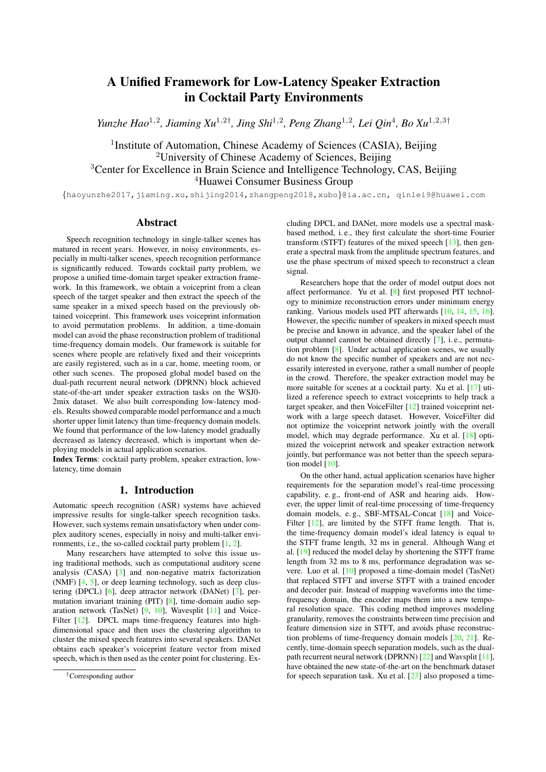# A Unified Framework for Low-Latency Speaker Extraction in Cocktail Party Environments

*Yunzhe Hao*<sup>1,2</sup>, Jiaming Xu<sup>1,2†</sup>, Jing Shi<sup>1,2</sup>, Peng Zhang<sup>1,2</sup>, Lei Qin<sup>4</sup>, Bo Xu<sup>1,2,3†</sup>

<sup>1</sup>Institute of Automation, Chinese Academy of Sciences (CASIA), Beijing <sup>2</sup>University of Chinese Academy of Sciences, Beijing <sup>3</sup>Center for Excellence in Brain Science and Intelligence Technology, CAS, Beijing <sup>4</sup>Huawei Consumer Business Group

{haoyunzhe2017,jiaming.xu,shijing2014,zhangpeng2018,xubo}@ia.ac.cn, qinlei9@huawei.com

## Abstract

Speech recognition technology in single-talker scenes has matured in recent years. However, in noisy environments, especially in multi-talker scenes, speech recognition performance is significantly reduced. Towards cocktail party problem, we propose a unified time-domain target speaker extraction framework. In this framework, we obtain a voiceprint from a clean speech of the target speaker and then extract the speech of the same speaker in a mixed speech based on the previously obtained voiceprint. This framework uses voiceprint information to avoid permutation problems. In addition, a time-domain model can avoid the phase reconstruction problem of traditional time-frequency domain models. Our framework is suitable for scenes where people are relatively fixed and their voiceprints are easily registered, such as in a car, home, meeting room, or other such scenes. The proposed global model based on the dual-path recurrent neural network (DPRNN) block achieved state-of-the-art under speaker extraction tasks on the WSJ0- 2mix dataset. We also built corresponding low-latency models. Results showed comparable model performance and a much shorter upper limit latency than time-frequency domain models. We found that performance of the low-latency model gradually decreased as latency decreased, which is important when deploying models in actual application scenarios.

Index Terms: cocktail party problem, speaker extraction, lowlatency, time domain

# 1. Introduction

Automatic speech recognition (ASR) systems have achieved impressive results for single-talker speech recognition tasks. However, such systems remain unsatisfactory when under complex auditory scenes, especially in noisy and multi-talker environments, i.e., the so-called cocktail party problem [\[1,](#page-4-0) [2\]](#page-4-1).

Many researchers have attempted to solve this issue using traditional methods, such as computational auditory scene analysis (CASA) [\[3\]](#page-4-2) and non-negative matrix factorization (NMF) [\[4,](#page-4-3) [5\]](#page-4-4), or deep learning technology, such as deep clustering (DPCL) [\[6\]](#page-4-5), deep attractor network (DANet) [\[7\]](#page-4-6), permutation invariant training (PIT) [\[8\]](#page-4-7), time-domain audio separation network (TasNet) [\[9,](#page-4-8) [10\]](#page-4-9), Wavesplit [\[11\]](#page-4-10) and Voice-Filter [\[12\]](#page-4-11). DPCL maps time-frequency features into highdimensional space and then uses the clustering algorithm to cluster the mixed speech features into several speakers. DANet obtains each speaker's voiceprint feature vector from mixed speech, which is then used as the center point for clustering. Excluding DPCL and DANet, more models use a spectral maskbased method, i. e., they first calculate the short-time Fourier transform (STFT) features of the mixed speech [\[13\]](#page-4-12), then generate a spectral mask from the amplitude spectrum features, and use the phase spectrum of mixed speech to reconstruct a clean signal.

Researchers hope that the order of model output does not affect performance. Yu et al. [\[8\]](#page-4-7) first proposed PIT technology to minimize reconstruction errors under minimum energy ranking. Various models used PIT afterwards [\[10,](#page-4-9) [14,](#page-4-13) [15,](#page-4-14) [16\]](#page-4-15). However, the specific number of speakers in mixed speech must be precise and known in advance, and the speaker label of the output channel cannot be obtained directly [\[7\]](#page-4-6), i. e., permutation problem [\[8\]](#page-4-7). Under actual application scenes, we usually do not know the specific number of speakers and are not necessarily interested in everyone, rather a small number of people in the crowd. Therefore, the speaker extraction model may be more suitable for scenes at a cocktail party. Xu et al. [\[17\]](#page-4-16) utilized a reference speech to extract voiceprints to help track a target speaker, and then VoiceFilter [\[12\]](#page-4-11) trained voiceprint network with a large speech dataset. However, VoiceFilter did not optimize the voiceprint network jointly with the overall model, which may degrade performance. Xu et al. [\[18\]](#page-4-17) optimized the voiceprint network and speaker extraction network jointly, but performance was not better than the speech separation model  $[10]$ .

On the other hand, actual application scenarios have higher requirements for the separation model's real-time processing capability, e. g., front-end of ASR and hearing aids. However, the upper limit of real-time processing of time-frequency domain models, e. g., SBF-MTSAL-Concat [\[18\]](#page-4-17) and Voice-Filter [\[12\]](#page-4-11), are limited by the STFT frame length. That is, the time-frequency domain model's ideal latency is equal to the STFT frame length, 32 ms in general. Although Wang et al. [\[19\]](#page-4-18) reduced the model delay by shortening the STFT frame length from 32 ms to 8 ms, performance degradation was severe. Luo et al. [\[10\]](#page-4-9) proposed a time-domain model (TasNet) that replaced STFT and inverse STFT with a trained encoder and decoder pair. Instead of mapping waveforms into the timefrequency domain, the encoder maps them into a new temporal resolution space. This coding method improves modeling granularity, removes the constraints between time precision and feature dimension size in STFT, and avoids phase reconstruction problems of time-frequency domain models [\[20,](#page-4-19) [21\]](#page-4-20). Recently, time-domain speech separation models, such as the dualpath recurrent neural network (DPRNN) [\[22\]](#page-4-21) and Wavsplit [\[11\]](#page-4-10), have obtained the new state-of-the-art on the benchmark dataset for speech separation task. Xu et al. [\[23\]](#page-4-22) also proposed a time-

<sup>†</sup>Corresponding author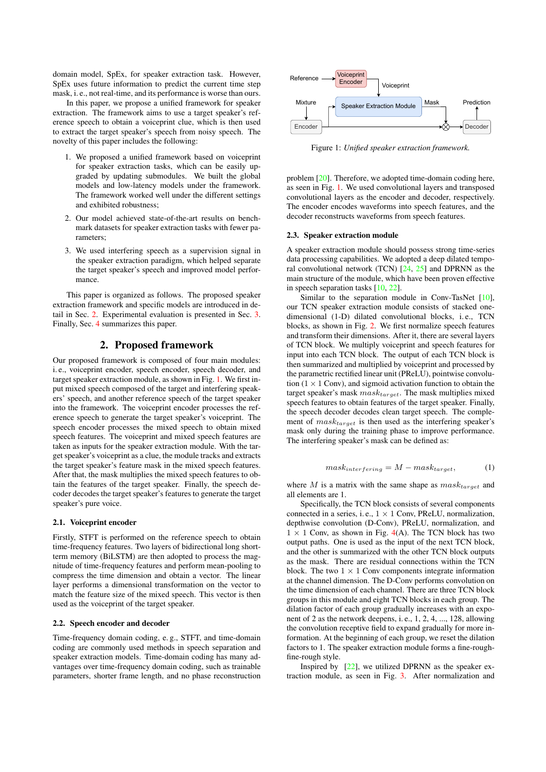domain model, SpEx, for speaker extraction task. However, SpEx uses future information to predict the current time step mask, i. e., not real-time, and its performance is worse than ours.

In this paper, we propose a unified framework for speaker extraction. The framework aims to use a target speaker's reference speech to obtain a voiceprint clue, which is then used to extract the target speaker's speech from noisy speech. The novelty of this paper includes the following:

- 1. We proposed a unified framework based on voiceprint for speaker extraction tasks, which can be easily upgraded by updating submodules. We built the global models and low-latency models under the framework. The framework worked well under the different settings and exhibited robustness;
- 2. Our model achieved state-of-the-art results on benchmark datasets for speaker extraction tasks with fewer parameters;
- 3. We used interfering speech as a supervision signal in the speaker extraction paradigm, which helped separate the target speaker's speech and improved model performance.

This paper is organized as follows. The proposed speaker extraction framework and specific models are introduced in detail in Sec. [2.](#page-1-0) Experimental evaluation is presented in Sec. [3.](#page-2-0) Finally, Sec. [4](#page-3-0) summarizes this paper.

# 2. Proposed framework

<span id="page-1-0"></span>Our proposed framework is composed of four main modules: i. e., voiceprint encoder, speech encoder, speech decoder, and target speaker extraction module, as shown in Fig. [1.](#page-1-1) We first input mixed speech composed of the target and interfering speakers' speech, and another reference speech of the target speaker into the framework. The voiceprint encoder processes the reference speech to generate the target speaker's voiceprint. The speech encoder processes the mixed speech to obtain mixed speech features. The voiceprint and mixed speech features are taken as inputs for the speaker extraction module. With the target speaker's voiceprint as a clue, the module tracks and extracts the target speaker's feature mask in the mixed speech features. After that, the mask multiplies the mixed speech features to obtain the features of the target speaker. Finally, the speech decoder decodes the target speaker's features to generate the target speaker's pure voice.

#### 2.1. Voiceprint encoder

Firstly, STFT is performed on the reference speech to obtain time-frequency features. Two layers of bidirectional long shortterm memory (BiLSTM) are then adopted to process the magnitude of time-frequency features and perform mean-pooling to compress the time dimension and obtain a vector. The linear layer performs a dimensional transformation on the vector to match the feature size of the mixed speech. This vector is then used as the voiceprint of the target speaker.

#### 2.2. Speech encoder and decoder

Time-frequency domain coding, e. g., STFT, and time-domain coding are commonly used methods in speech separation and speaker extraction models. Time-domain coding has many advantages over time-frequency domain coding, such as trainable parameters, shorter frame length, and no phase reconstruction

<span id="page-1-1"></span>

Figure 1: *Unified speaker extraction framework.*

problem [\[20\]](#page-4-19). Therefore, we adopted time-domain coding here, as seen in Fig. [1.](#page-1-1) We used convolutional layers and transposed convolutional layers as the encoder and decoder, respectively. The encoder encodes waveforms into speech features, and the decoder reconstructs waveforms from speech features.

#### 2.3. Speaker extraction module

A speaker extraction module should possess strong time-series data processing capabilities. We adopted a deep dilated temporal convolutional network (TCN) [\[24,](#page-4-23) [25\]](#page-4-24) and DPRNN as the main structure of the module, which have been proven effective in speech separation tasks [\[10,](#page-4-9) [22\]](#page-4-21).

Similar to the separation module in Conv-TasNet [\[10\]](#page-4-9), our TCN speaker extraction module consists of stacked onedimensional (1-D) dilated convolutional blocks, i. e., TCN blocks, as shown in Fig. [2.](#page-2-1) We first normalize speech features and transform their dimensions. After it, there are several layers of TCN block. We multiply voiceprint and speech features for input into each TCN block. The output of each TCN block is then summarized and multiplied by voiceprint and processed by the parametric rectified linear unit (PReLU), pointwise convolution  $(1 \times 1 \text{ Conv})$ , and sigmoid activation function to obtain the target speaker's mask  $mask_{target}$ . The mask multiplies mixed speech features to obtain features of the target speaker. Finally, the speech decoder decodes clean target speech. The complement of  $mask_{target}$  is then used as the interfering speaker's mask only during the training phase to improve performance. The interfering speaker's mask can be defined as:

$$
mask_{interfering} = M - mask_{target}, \tag{1}
$$

where  $M$  is a matrix with the same shape as  ${mask}_{target}$  and all elements are 1.

Specifically, the TCN block consists of several components connected in a series, i.e.,  $1 \times 1$  Conv, PReLU, normalization, depthwise convolution (D-Conv), PReLU, normalization, and  $1 \times 1$  Conv, as shown in Fig. [4\(](#page-3-1)A). The TCN block has two output paths. One is used as the input of the next TCN block, and the other is summarized with the other TCN block outputs as the mask. There are residual connections within the TCN block. The two  $1 \times 1$  Conv components integrate information at the channel dimension. The D-Conv performs convolution on the time dimension of each channel. There are three TCN block groups in this module and eight TCN blocks in each group. The dilation factor of each group gradually increases with an exponent of 2 as the network deepens, i. e., 1, 2, 4, ..., 128, allowing the convolution receptive field to expand gradually for more information. At the beginning of each group, we reset the dilation factors to 1. The speaker extraction module forms a fine-roughfine-rough style.

Inspired by [\[22\]](#page-4-21), we utilized DPRNN as the speaker extraction module, as seen in Fig. [3.](#page-2-2) After normalization and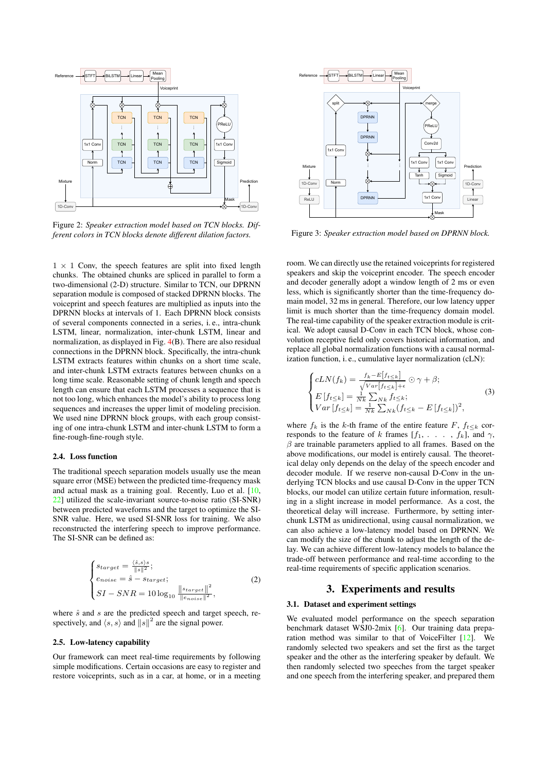<span id="page-2-1"></span>

Figure 2: *Speaker extraction model based on TCN blocks. Different colors in TCN blocks denote different dilation factors.*

 $1 \times 1$  Conv, the speech features are split into fixed length chunks. The obtained chunks are spliced in parallel to form a two-dimensional (2-D) structure. Similar to TCN, our DPRNN separation module is composed of stacked DPRNN blocks. The voiceprint and speech features are multiplied as inputs into the DPRNN blocks at intervals of 1. Each DPRNN block consists of several components connected in a series, i. e., intra-chunk LSTM, linear, normalization, inter-chunk LSTM, linear and normalization, as displayed in Fig. [4\(](#page-3-1)B). There are also residual connections in the DPRNN block. Specifically, the intra-chunk LSTM extracts features within chunks on a short time scale, and inter-chunk LSTM extracts features between chunks on a long time scale. Reasonable setting of chunk length and speech length can ensure that each LSTM processes a sequence that is not too long, which enhances the model's ability to process long sequences and increases the upper limit of modeling precision. We used nine DPRNN block groups, with each group consisting of one intra-chunk LSTM and inter-chunk LSTM to form a fine-rough-fine-rough style.

### 2.4. Loss function

The traditional speech separation models usually use the mean square error (MSE) between the predicted time-frequency mask and actual mask as a training goal. Recently, Luo et al. [\[10,](#page-4-9) [22\]](#page-4-21) utilized the scale-invariant source-to-noise ratio (SI-SNR) between predicted waveforms and the target to optimize the SI-SNR value. Here, we used SI-SNR loss for training. We also reconstructed the interfering speech to improve performance. The SI-SNR can be defined as:

$$
\begin{cases}\n\text{Starget} = \frac{\langle \hat{s}, s \rangle s}{\|s\|^2}; \\
\text{e noise} = \hat{s} - \text{Starget}; \\
\text{SI} - \text{SNR} = 10 \log_{10} \frac{\| \text{starget} \|^2}{\| \text{e noise} \|^2},\n\end{cases} \tag{2}
$$

where  $\hat{s}$  and  $s$  are the predicted speech and target speech, respectively, and  $\langle s, s \rangle$  and  $||s||^2$  are the signal power.

#### 2.5. Low-latency capability

Our framework can meet real-time requirements by following simple modifications. Certain occasions are easy to register and restore voiceprints, such as in a car, at home, or in a meeting

<span id="page-2-2"></span>

Figure 3: *Speaker extraction model based on DPRNN block.*

room. We can directly use the retained voiceprints for registered speakers and skip the voiceprint encoder. The speech encoder and decoder generally adopt a window length of 2 ms or even less, which is significantly shorter than the time-frequency domain model, 32 ms in general. Therefore, our low latency upper limit is much shorter than the time-frequency domain model. The real-time capability of the speaker extraction module is critical. We adopt causal D-Conv in each TCN block, whose convolution receptive field only covers historical information, and replace all global normalization functions with a causal normalization function, i. e., cumulative layer normalization (cLN):

$$
\begin{cases}\n cLN(f_k) = \frac{f_k - E[f_{t \le k}]}{\sqrt{Var[f_{t \le k}] + \epsilon}} \odot \gamma + \beta; \\
 E[f_{t \le k}] = \frac{1}{Nk} \sum_{Nk} f_{t \le k}; \\
 Var[f_{t \le k}] = \frac{1}{Nk} \sum_{Nk} (f_{t \le k} - E[f_{t \le k}])^2,\n\end{cases} \tag{3}
$$

where  $f_k$  is the k-th frame of the entire feature F,  $f_{t\leq k}$  corresponds to the feature of k frames  $[f_1, \ldots, f_k]$ , and  $\gamma$ ,  $\beta$  are trainable parameters applied to all frames. Based on the above modifications, our model is entirely causal. The theoretical delay only depends on the delay of the speech encoder and decoder module. If we reserve non-causal D-Conv in the underlying TCN blocks and use causal D-Conv in the upper TCN blocks, our model can utilize certain future information, resulting in a slight increase in model performance. As a cost, the theoretical delay will increase. Furthermore, by setting interchunk LSTM as unidirectional, using causal normalization, we can also achieve a low-latency model based on DPRNN. We can modify the size of the chunk to adjust the length of the delay. We can achieve different low-latency models to balance the trade-off between performance and real-time according to the real-time requirements of specific application scenarios.

# 3. Experiments and results

### <span id="page-2-0"></span>3.1. Dataset and experiment settings

We evaluated model performance on the speech separation benchmark dataset WSJ0-2mix [\[6\]](#page-4-5). Our training data preparation method was similar to that of VoiceFilter [\[12\]](#page-4-11). We randomly selected two speakers and set the first as the target speaker and the other as the interfering speaker by default. We then randomly selected two speeches from the target speaker and one speech from the interfering speaker, and prepared them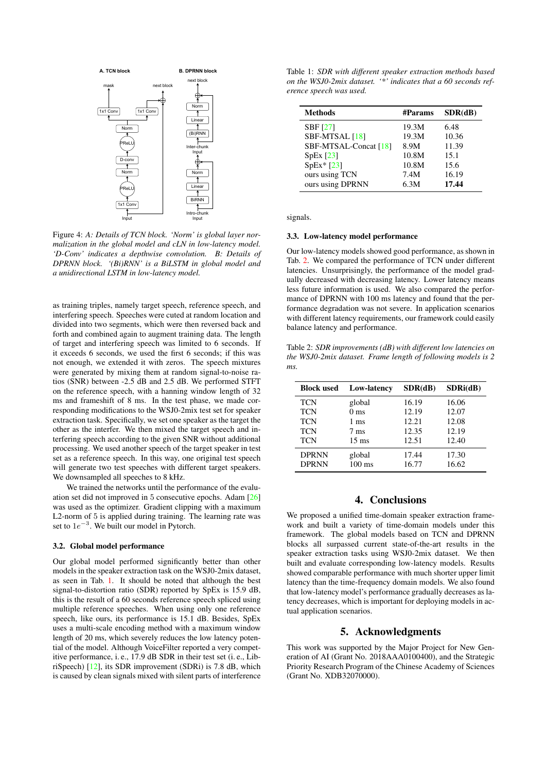<span id="page-3-1"></span>

Figure 4: *A: Details of TCN block. 'Norm' is global layer normalization in the global model and cLN in low-latency model. 'D-Conv' indicates a depthwise convolution. B: Details of DPRNN block. '(Bi)RNN' is a BiLSTM in global model and a unidirectional LSTM in low-latency model.*

as training triples, namely target speech, reference speech, and interfering speech. Speeches were cuted at random location and divided into two segments, which were then reversed back and forth and combined again to augment training data. The length of target and interfering speech was limited to 6 seconds. If it exceeds 6 seconds, we used the first 6 seconds; if this was not enough, we extended it with zeros. The speech mixtures were generated by mixing them at random signal-to-noise ratios (SNR) between -2.5 dB and 2.5 dB. We performed STFT on the reference speech, with a hanning window length of 32 ms and frameshift of 8 ms. In the test phase, we made corresponding modifications to the WSJ0-2mix test set for speaker extraction task. Specifically, we set one speaker as the target the other as the interfer. We then mixed the target speech and interfering speech according to the given SNR without additional processing. We used another speech of the target speaker in test set as a reference speech. In this way, one original test speech will generate two test speeches with different target speakers. We downsampled all speeches to 8 kHz.

We trained the networks until the performance of the evaluation set did not improved in 5 consecutive epochs. Adam [\[26\]](#page-4-25) was used as the optimizer. Gradient clipping with a maximum L2-norm of 5 is applied during training. The learning rate was set to  $1e^{-3}$ . We built our model in Pytorch.

### 3.2. Global model performance

Our global model performed significantly better than other models in the speaker extraction task on the WSJ0-2mix dataset, as seen in Tab. [1.](#page-3-2) It should be noted that although the best signal-to-distortion ratio (SDR) reported by SpEx is 15.9 dB, this is the result of a 60 seconds reference speech spliced using multiple reference speeches. When using only one reference speech, like ours, its performance is 15.1 dB. Besides, SpEx uses a multi-scale encoding method with a maximum window length of 20 ms, which severely reduces the low latency potential of the model. Although VoiceFilter reported a very competitive performance, i. e., 17.9 dB SDR in their test set (i. e., LibriSpeech) [\[12\]](#page-4-11), its SDR improvement (SDRi) is 7.8 dB, which is caused by clean signals mixed with silent parts of interference

<span id="page-3-2"></span>Table 1: *SDR with different speaker extraction methods based on the WSJ0-2mix dataset. '\*' indicates that a 60 seconds reference speech was used.*

| <b>Methods</b>             | #Params | SDR(dB) |
|----------------------------|---------|---------|
| <b>SBF</b> <sub>[27]</sub> | 19.3M   | 6.48    |
| SBF-MTSAL [18]             | 19.3M   | 10.36   |
| SBF-MTSAL-Concat [18]      | 8.9M    | 11.39   |
| SpEx [23]                  | 10.8M   | 15.1    |
| $SpEx* [23]$               | 10.8M   | 15.6    |
| ours using TCN             | 7.4M    | 16.19   |
| ours using DPRNN           | 6.3M    | 17.44   |

signals.

#### 3.3. Low-latency model performance

Our low-latency models showed good performance, as shown in Tab. [2.](#page-3-3) We compared the performance of TCN under different latencies. Unsurprisingly, the performance of the model gradually decreased with decreasing latency. Lower latency means less future information is used. We also compared the performance of DPRNN with 100 ms latency and found that the performance degradation was not severe. In application scenarios with different latency requirements, our framework could easily balance latency and performance.

<span id="page-3-3"></span>Table 2: *SDR improvements (dB) with different low latencies on the WSJ0-2mix dataset. Frame length of following models is 2 ms.*

| <b>Block used</b> | <b>Low-latency</b> | SDR(dB) | SDRi(dB) |
|-------------------|--------------------|---------|----------|
| <b>TCN</b>        | global             | 16.19   | 16.06    |
| <b>TCN</b>        | 0 <sub>ms</sub>    | 12.19   | 12.07    |
| <b>TCN</b>        | 1 ms               | 12.21   | 12.08    |
| <b>TCN</b>        | $7 \text{ ms}$     | 12.35   | 12.19    |
| <b>TCN</b>        | $15 \text{ ms}$    | 12.51   | 12.40    |
| <b>DPRNN</b>      | global             | 17.44   | 17.30    |
| <b>DPRNN</b>      | $100 \text{ ms}$   | 16.77   | 16.62    |

# 4. Conclusions

<span id="page-3-0"></span>We proposed a unified time-domain speaker extraction framework and built a variety of time-domain models under this framework. The global models based on TCN and DPRNN blocks all surpassed current state-of-the-art results in the speaker extraction tasks using WSJ0-2mix dataset. We then built and evaluate corresponding low-latency models. Results showed comparable performance with much shorter upper limit latency than the time-frequency domain models. We also found that low-latency model's performance gradually decreases as latency decreases, which is important for deploying models in actual application scenarios.

## 5. Acknowledgments

This work was supported by the Major Project for New Generation of AI (Grant No. 2018AAA0100400), and the Strategic Priority Research Program of the Chinese Academy of Sciences (Grant No. XDB32070000).